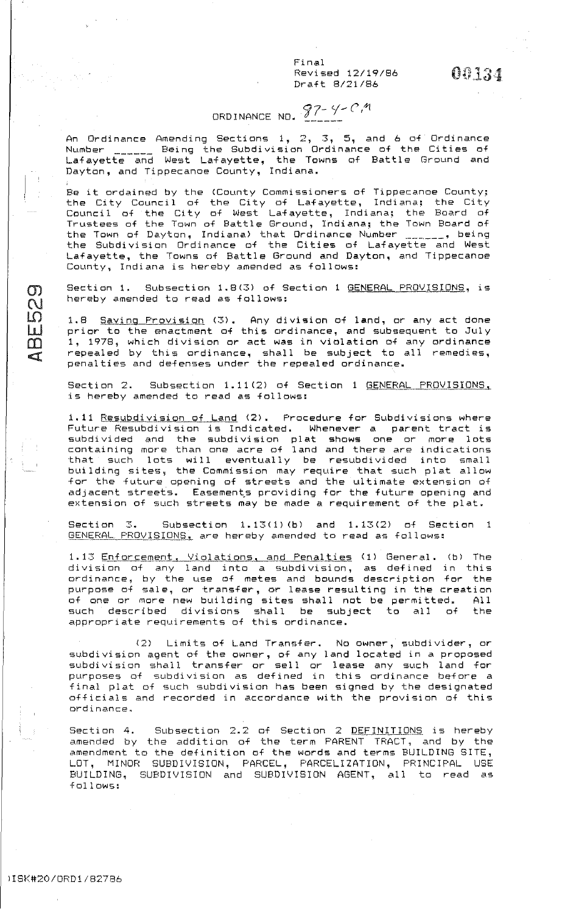Final Revised 12/19/86 Draft 8/21 /86

 $00134$ 

# ORDINANCE NO.  $97-9-0.9$

An Ordinance Amending Sections  $\mathbf{1,}\;\; 2,\;\; \mathbf{3,}\;\; \mathbf{5,}$  and 6 of Ordinance An ordinance Amending Sections 1, 2, 3, 3, 8, and 8 3, Stainance<br>Number <sub>-----</sub> Being the Subdivision Ordinance of the Cities of Lafayette and West Lafayette, the Towns of Battle Ground and  $\mathsf{Dayt}_\mathsf{O}$ n, and Tippecanoe County, Indiana.

.<br>Be it ordained by the (County Commissioners of Tippecanoe County; the City Council of the City of Lafayette, Indiana; the City Council of the City of West Lafayette, Indiana; the Board of Trustees of the Town of Battle Ground, Indiana; the Town Board of the Town of Dayton, Indiana) that Ordinance Number \_\_\_\_\_\_, being the Subdivision Ordinance of the Cities of Lafayette and West Lafayette, the Towns of Battle Ground and Dayton, and Tippecanoe County, Indiana is hereby amended as follows:

Section 1. Subsection 1.8(3) of Section 1 GENERAL PROVISIONS, is hereby amended to read as follows:

1.8 Saving Frovision (3). Any division of land, or any act done prior to the enactment of this ordinance, and subsequent to July 1, 1978, which division or act was in violation of any ordinance repealed by this ordinance, shall be subject to all remedies, penalties and defenses under the repealed ordinance.

Section 2. Subsection 1.11(2) of Section 1 GENERAL PROVISIONS. is hereby amended to read as follows:

1.11 Resubdivision of Land (2). Procedure for Subdivisions where Future Resubdivision is Indicated. Whenever a parent tract is subdivided and the subdivision plat shows one or more lots containing more than one acre of land and there are indications that such lots will eventually be resubdivided into small building sites, the Commission may require that such plat allow for the future opening of streets and the ultimate extension of adjacent streets. Easements providing for the future opening and extension of such streets may be made a requirement of the plat.

Section 3. Subsection 1.13(1)(b) and 1.13(2) of Section 1 GENERAL PROVISIONS, are hereby amended to read as follows:

1.13 Enforcement, Violations, and Penalties (1) General. (b) The division of any land into a subdivision, as defined in this r.Jrdinance, by the c1se of metes and bounds description for the purpose of sale, or transfer, or lease resulting in the creation parpose of safe, of cransfer, or lease resulting in the creation<br>of one or more new building sites shall not be permitted. All such described divisions shall be subject to all of the appropriate requirements of this ordinance.

(2) Limits of Land Transfer. No owner, subdivider, or subdivision agent of the owner, of any land located in a proposed subdivision shall transfer or sell or lease any such land for **p·urposes t"Jf sub di vision as defined in this ordinance before a**  final plat of such subdivision has been signed by the designated officials and recorded in accordance with the provision of this **C)rd i nance** <sup>~</sup>

Section 4. Subsection 2.2 of Section 2 <u>DEFINITIONS</u> is hereby aection 4. Subsection 2.2 of Section 2 <u>BEFINITIONS</u> is hereby<br>amended by the addition of <mark>the term</mark> PARENT TRACT, and by the amendment to the definition of the words and terms BUILDING SITE, LOT, MINOR SUBDIVISION, PARCEL, PARCELIZATION, PRINCIPAL USE BUILDING, SUBDIVISION and SUBDIVISION AGENT, all to read as fol lows:

 $\mathbf{\Omega}$  $\overline{\mathcal{C}}$ LO L  $\Box$ <I: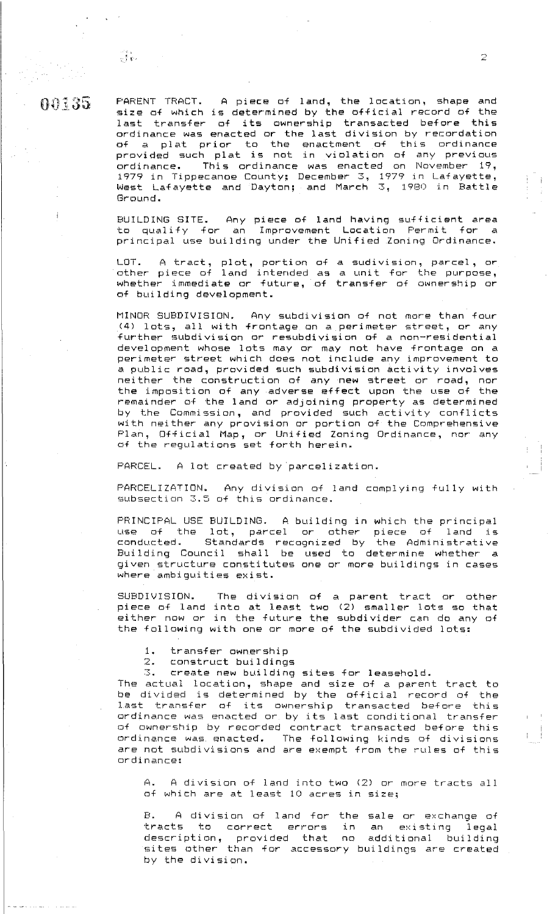## n f} "· '.{ r;. ··. **tf** '\*.} *\_}i\_* **'f:.J <sup>u</sup>**

PARENT TRACT. A piece of land, the location, shape and size of which is determined by the official record of the last transfer of its ownership transacted before this ordinance was enacted or the last division by recordation of a plat prior to the enactment of this ordinance provided such plat is not in violation of any previous ordinance. This ordinance was enacted on November 19, 1979 in Tippecanoe County; December *:s,* 1979 in l\_afayette, West Lafayette and Dayton; and March 3, 1980 in Battle Ground.

BUILDING SITE. Any piece of land having sufficient area to qualify for an Improvement Location Permit for a principal use building under the Unified Zoning Ordinance.

LOT. A tract, plot, portion other piece of land intended whether immediate or future,  $\overline{\phantom{a}}$ of building development. **of a sudivision, parcel, or**  as a unit for the purpose, of transfer of ownership or

MINOR SUBDIVISION. Any subdivision of not more than four (4) lots, all with frontage on a perimeter street, or any further subdivision or resubdivision of a non-residential development whose lots may or may not have frontage on a perimeter street which does not include any improvement to a public road, provided such subdivision activity involves neither the construction of any **new** street or road, nor the imposition of any adverse effect upon the use of the remainder of the land or adjoining property as determined by the Commission, and provided such activity conflicts with neither any provision or portion of the Comprehensive Flan, Official Map, or Unified Zoning Ordinance, nor any of the regulations set forth herein.

FARCEL. A lot created by parcelization.

PARCELIZATION. Any division of land complying fully with subsection 3.5 of this ordinance.

PRINCIPAL USE BUILDING. A building in which the principal use of the lot, parcel or other piece of land is conducted. Standards recognized by the Administrative Building Council shall be used to determine whether a given structure constitutes one or more buildings in cases where ambiguities exist.

SUBDIVISION. The division of a parent tract or other piece of land into at least two (2) smaller lots so that either now or in the future the subdivider can do any of the following with one or more of the subdivided lots:

- 1. transfer ownership
- 2. construct buildings<br>3. create new building

3. create new building sites for leasehold.

The actual location, shape and size of a parent tract to be divided is determined by the official record of the last transfer of its ownership transacted before this ordinance was enacted or by its last conditional transfer of ownership by recorded contract transacted before this ordinance was enacted. The following kinds of divisions are not subdivisions and are exempt from the rules of this **c:Jrdinance:** 

A. A division of land into two (2) or more tracts all of which are at least 10 acres in size;

B. A division of land for the sale or exchange of tracts to correct errors in an existing legal description, provided that no additional building mine meaning than for accessory buildings are created by the division.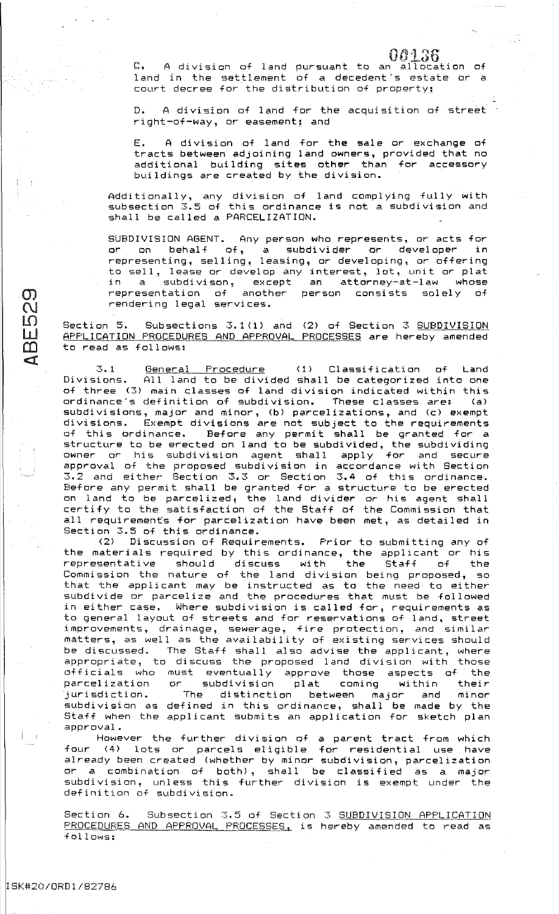$\mathbb{C}$ . A division of land pursuant to an allocation of land in the settlement of a decedent's estate or- <sup>a</sup> 00136 court decree for the distribution of property;

D. A division of land for the acquisition of street right-of-way, or easement; and

E. A division of land for the sale or- exchange of tracts between adjoining land owners, provided that no additional building sites other than for accessory buildings are created by the division.

Additionally, any division of land complying fully with subsection 3.5 of this ordinance is not a subdivision and shall be called a PARCELIZATION.

SUBDIVISION AGENT. Any person who represents, or acts for or- on behalf of, a subdivider or developer in representing, selling, leasing, or developing, or offering to sell, lease or develop any interest, lot, unit or plat  $subdivison,$  except an attorney-at-law whose representation of another person consists solely of rendering legal services.

Section 5. Subsections 3.1(1) and (2) of Section 3 SUBDIVISION APPLICATION PROCEDURES AND APPROVAL PROCESSES are hereby amended to read as follows:

3.1 General Frocedure (1) Classification of Land Divisions. All land to be divided shall be categorized into one of three (3) main classes of land division indicated within this ordinance's definition of subdivision. These classes are: (a) subdivisions, major and minor, (bl parcelizations, and (c) exempt divisions. Exempt divisions are not subject to the requirements Before any permit shall be granted for a structure to be erected on land to be subdivided, the subdividing owner or his subdivision agent shall apply for and secure approval of the proposed subdivision in accordance with Section 3.2 and either· Section 3.3 or Section 3.4 of this ordinance. and any permit shall be granted for a structure to be erected on land to be parcelized, the land divider or his agent shall certify to the satisfaction of the Staff of the Commission that all requirements for parcelization have been met, as detailed in Section 3.5 of this ordinance,

(2) Discussion of Requirements. Prior to submitting any of the materials required by this ordinance, the applicant or his representative should discuss with the Staff of the Commission the nature of the land division being proposed, so that the applicant may be instructed as to the need to either subdivide or parcelize and the procedures that must be followed in either case. Where subdivision is called for, requirements as to general layout of streets and for reservations of land, street improvements, drainage, sewerage, fire protection, and similar matters, as well as the availability of existing services should be discussed. The Staff shall also advise the applicant, where appropriate, to discuss the proposed land division with those officials who must eventually approve those aspects of the parcelization or subdivision plat coming within their jurisdiction. The distinction between major and minor subdivision as defined in this ordinance, shall be made by the Staff when the applicant submits an application for sketch plan approval.

However the further division of a parent tract from which four (4) lots or parcels eligible for residential use have already been created (whether by minor subdivision, parcelization or a combination of both), shall be classified as a major subdivision, unless this further division is exempt under the definition of subdivision.

Section 6. Subsection 3.5 of Section 3 SUBDIVISION APPLICATION PROCEDURES AND APPROVAL PROCESSES, is hereby amended to read as fol lows:

 $\mathcal{Q}_i$  $\overline{C}$ LO  $\mathsf{L}$  $\omega$  $\mathbb{C}^r$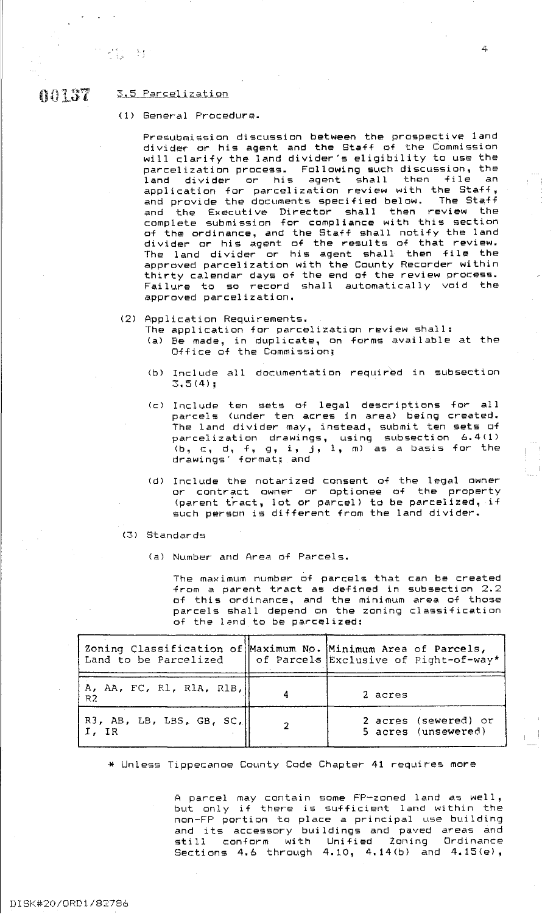#### $0.0137$  $3.5$  Parcelization

### (1) General Procedure.

Presubmission discussion between the prospective land divider or his agent and the Staff of the Commission will clarify the land divider's eligibility to use the parcelization process. Following such discussion, the parterization process. Tollowing such diseased in the<br>land divider or his agent shall then file an application for parcelization review with the Staff,<br>and provide the documents specified below. The Staff and provide the documents specified below. and the Executive Director shall then review the complete submission for compliance with this section of the ordinance, and the Staff shall notify the land divider or his agent of the r-esults of that review. The land divider or his agent shall then file the approved parcelization with the County Recorder within thirty calendar days of the end of the review process. Failure to so record shall automatically void the approved parcelization.

- (2) Application Requirements.
	- The application for parcelization review shall: (a) Be made, in duplicate, on forms available at the Office of the Commission;
	- <bl Include all documentation required in subsection **3.5(4);**
	- (c) Include ten sets of legal descriptions for all parcels (under ten acres in area) being created. The land divider may, instead, submit ten sets of parcelization drawings, using subsection 6.4<1>  $(b, c, d, f, g, i, j, 1, m)$  as a basis for the drawings' for-mat; and
	- (d) Include the notarized consent of the legal owner or- contract owner or optionee of the proper-ty (parent tract, lot or parcel) to be parcelized, if such person is different from the land divider.

(3) Standards

(a) Number and Area of Parcels.

The maximum number of parcels that can be created from a parent tract as defined in subsection 2.2 of this ordinance, and the minimum area of those parcels shall depend on the zoning classification of the lsnd to be parcelized:

| Zoning Classification of Maximum No. Minimum Area of Parcels,<br>Land to be Parcelized | of Parcels Exclusive of Pight-of-way*       |
|----------------------------------------------------------------------------------------|---------------------------------------------|
| $\begin{bmatrix} A, AA, FC, R1, R1A, R1B, R2 \end{bmatrix}$                            | 2 acres                                     |
| $ $ R3, AB, LB, LBS, GB, SC, $  $<br>I, IR                                             | 2 acres (sewered) or<br>5 acres (unsewered) |

\* Unless Tippecanoe County Code Chapter 41 requires more

A parcel may contain some  $\mathsf{FP}\text{-zoned}$  land as well, but only if there is sufficient land within the non-FF' portion to place a principal use building and its accessory buildings and paved areas and still conform with Unified Zoning Ordinance Sections 4.6 through  $4.10$ ,  $4.14(b)$  and  $4.15(e)$ ,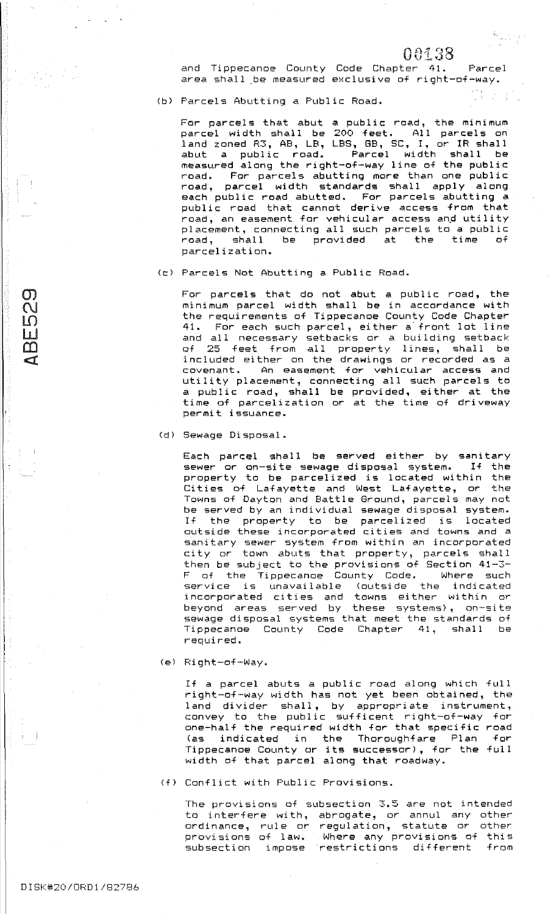## 00138

วินีเวลา

and Tippecanoe County Code Chapter 41. Parcel area shall be measured exclusive of right-of-way.

(bl Parcels Abutting a Public Road.

For parcels that abut a public road, the minimum parcel width shall be 200 feet. All parcels on land zoned R3, AB, LB, LBS, GB, SC, I, or IR shall abut a public road. Parcel width shall be measured along the right-of-way line of the public road. For parcels abutting more than one public road, parcel width standards shall apply along each public road abutted. For parcels abutting a public road that cannot derive access from that public road that cannot berive access from that<br>road, an easement for vehicular access and utility placement, connecting all such parcels to a public road, shall be provided at the time of parcelization.

CcJ Parcels Not Abutting a Public Road.

For parcels that do not abut a public road, the minimum parcel width shall be in accordance with the requirements of Tippecanoe County Code Chapter 41. For each such parcel, either a front lot line and all necessary setbacks or a building setback of 25 feet from all property lines, shall be included either on the drawings or recorded as a enastic cover the community of the community utility placement, connecting all such parcels to a public road, shall be provided, either at the time of parcelization or at the time of driveway permit issuance.

CdJ Sewage Disposal.

Each parcel shall be served either by sanitary sewer or on-site sewage disposal system. If the property to be parcelized is located within the Cities of Lafayette and West Lafayette, or the Towns of Dayton and Battle Ground, parcels may not be served by an individual sewage disposal system. If the property to be parcelized is located outside these incorporated cities and towns and a sanitary sewer system from within an incorporated santeary seven system from Within an incorporated then be subject to the provisions of Section 41-3- F of the Tippecanoe County Code. Where such service is unavailable (outside the indicated incorporated cities and towns either within or beyond areas served by these systems) , on-site sewage disposal systems that meet the standards of Tippecanoe County Code Chapter 41, shall be required.

<el Right-of-Way.

If a parcel abuts a public road along which full right-of-way width has not yet been obtained, the land divider shall, by appropriate instrument, convey to the public: sufficent right-of-way for one-half the required width for that specific road (as indicated in the Thoroughfare Plan for Tippecanoe County or its successor), for the full width of that parcel along that roadway.

(f) Conflict with Public: Provisions.

The provisions of subsection 3.5 are not intended to interfere with, abrogate, or annul any other co interiors with, as sympate, or annot any stime provisions of law. Where any provisions of this subsection impose restrictions different from

 $\sigma$  $\overline{\mathcal{C}}$  $\mathfrak{g}$ <u>uí</u>  $\Box$ **Ca**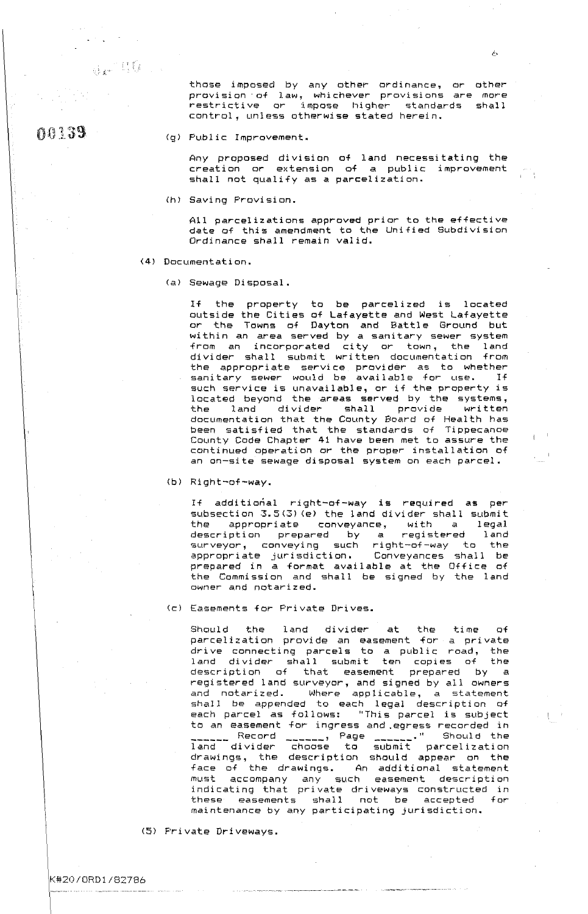.~:

00 1. 39

those imposed by any other ordinance, or other provision· of law, whichever provisions are more restrictive or impose higher standards shall control, unless otherwise stated herein.

(g) Public Improvement.

Any proposed division of land necessitating the creation or extension of a public improvement shall not qualify as a parcelization.

(hi Saving Provision.

All parcelizations approved prior to the effective date of this amendment to the Unified Subdivision Ordinance shall remain valid.

### (4) Documentation.

(al Sewage Disposal.

If the property to be parcelized is located outside the Cities of Lafayette and West Lafayette or the Towns of Dayton and Battle Ground but within an area served by a sanitary sewer system from an incorporated city or town, the land divider shall submit written documentation from the appropriate service provider as to whether sanitary sewer would be available for use. If such service is unavailable, or if the property is located beyond the areas served by the systems, the land divider shall provide written documentation that the County Board of Health has been satisfied that the standards of Tippecanoe County Code Chapter 41 have been met to assure the continued operation or the proper installation of an on-site sewage disposal system on each parcel.

(b) Right-of-way.

If additional right-of-way is required as per subsection 3.5(3) (e) the land divider shall submit the appropriate conveyance, with a legal description prepared by *a* registered land surveyor, conveying such right-of-way to the appropriate jurisdiction. Conveyances shall be prepared in a format available at the Office of the Commission and shall be signed by the land owner and notarized.

Cc) Easements for Private Drives.

Should the land divider at the time of parcelization provide an easement for a private drive connecting parcels to a public road, the land divider shall submit ten copies of the description of that easement prepared by a registered land surveyor, and signed by all owners and notarized. Where applicable, a statement shall be appended to each legal description of each parcel as follows: "This parcel is subject to an easement for ingress and.egress recorded in ------ Record ------, Page ------." Should the land divider choose to submit parcelization drawings, the description should appear on the face of the drawings. An additional statement must accompany any such easement description indicating that private driveways constructed in these easements shall not be accepted for maintenance by any participating jurisdiction.

··--··-- ·----~----·----------

<sup>151</sup>Private Driveways.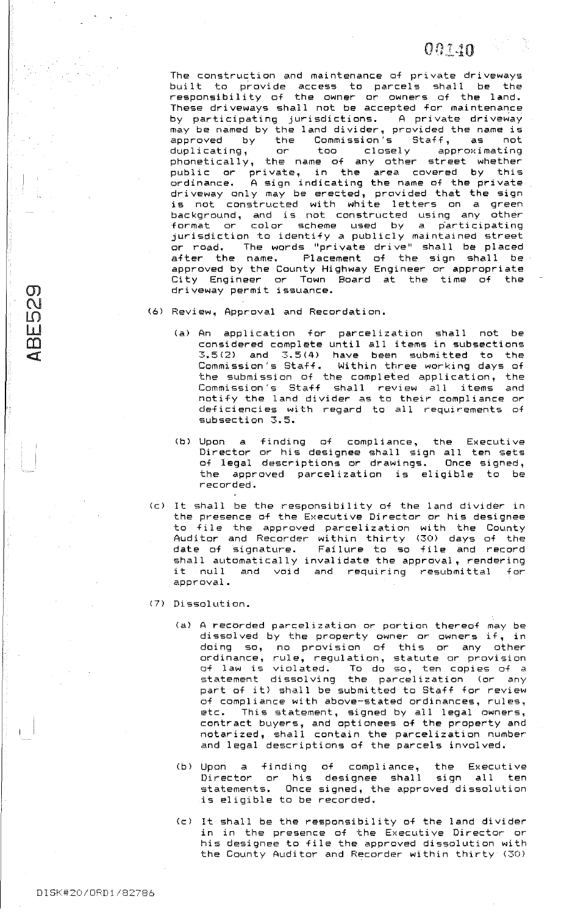The construction and maintenance of private driveways built to provide access to parcels shall be the responsibility of the owner or owners of the land. These driveways shall not be accepted for maintenance by participating jurisdictions. A private driveway may be named by the land divider, provided the name is approved by the Commission's Staff, as not duplicating, or too closely approximating  $phonetically,$  the name of any other street whether public or private, in the area covered by this ordinance. A sign indicating the name of the private driveway only may be erected, provided that the sign is not constructed with white letters on a green background, and is not constructed using any other format or color scheme used by a participating jurisdiction to identify a publicly maintained street or road. The words "private drive" shall be placed after the name. Placement of the sign shall be approved by the County Highway Engineer or appropriate City Engineer or Town Board at the time of the driveway permit issuance.

- (6) Review, Approval and Recordation.
	- (a) An application for parcelization shall not be considered complete until all items in subsections  $3.5(2)$  and  $3.5(4)$  have been submitted to the Commission's Staff. Within three working days of the submission of the completed application, the Commission's Staff shall review all items and notify the land divider as to their compliance or deficiencies with regard to all requirements of subsection 3.5.
	- (b) Upon a finding of compliance, the Executive Director or his designee shall sign all ten sets of legal descriptions or drawings. Once signed, the approved parcelization is eligible to be recorded.
- (c) It shall be the responsibility of the land divider in the presence of the Executive Director or his designee to file the approved parcelization with the County Auditor and Recorder within thirty (30) days of the date of signature. Failure to so file and record shall automatically invalidate the approval, rendering it null and void and requiring resubmittal for approval.
- (7) Dissolution.
	- (a) A recorded parcelization or portion thereof may be dissolved by the property owner or owners if, in doing so, no provision of this or any other ordinance, rule, regulation, statute or provision <Jf law is violated. To do so, ten copies of a statement dissolving the parcelization (or any part of it) shall be submitted to Staff for review of compliance with above-stated ordinances, rules, etc. This statement, signed by all legal owners, contract buyers, and optionees of the property and notarized, shall contain the parcelization number and legal descriptions of the parcels involved.
	- Cb) Upon a ..<br>Director finding or his statements. Once is eligible to be recorded. of compliance, the Executive designee shall sign all ten signed, the approved dissolution
	- (c) It shall be the responsibility of the land divider in in the presence of the Executive Director or his designee to file the approved dissolution with the County Auditor and Recorder within thirty C30)

 $\mathcal{D}_{\mathbf{r}}$  $\bigcap$  $\bm{\mathsf{L}}$ **W**  $\omega$  $\blacksquare$